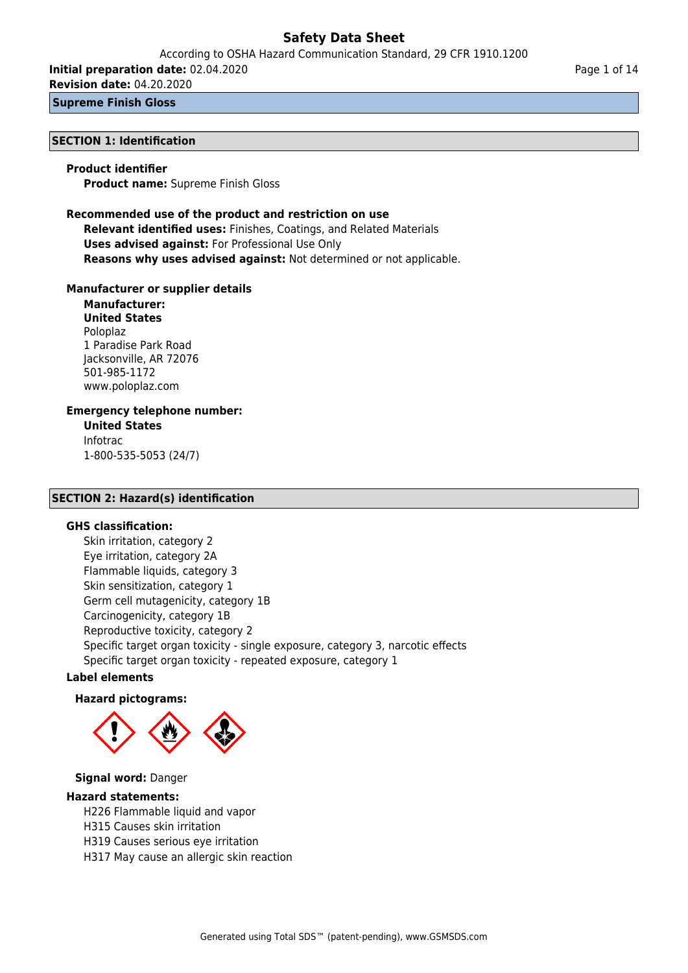According to OSHA Hazard Communication Standard, 29 CFR 1910.1200

**Initial preparation date:** 02.04.2020

**Revision date:** 04.20.2020

**Supreme Finish Gloss**

### **SECTION 1: Identification**

### **Product identifier**

**Product name:** Supreme Finish Gloss

### **Recommended use of the product and restriction on use Relevant identified uses:** Finishes, Coatings, and Related Materials

**Uses advised against:** For Professional Use Only **Reasons why uses advised against:** Not determined or not applicable.

### **Manufacturer or supplier details**

**Manufacturer: United States** Poloplaz 1 Paradise Park Road Jacksonville, AR 72076 501-985-1172 www.poloplaz.com

### **Emergency telephone number:**

**United States** Infotrac 1-800-535-5053 (24/7)

### **SECTION 2: Hazard(s) identification**

### **GHS classification:**

Skin irritation, category 2 Eye irritation, category 2A Flammable liquids, category 3 Skin sensitization, category 1 Germ cell mutagenicity, category 1B Carcinogenicity, category 1B Reproductive toxicity, category 2 Specific target organ toxicity - single exposure, category 3, narcotic effects Specific target organ toxicity - repeated exposure, category 1

### **Label elements**

### **Hazard pictograms:**



### **Signal word:** Danger

### **Hazard statements:**

H226 Flammable liquid and vapor

- H315 Causes skin irritation
- H319 Causes serious eye irritation
- H317 May cause an allergic skin reaction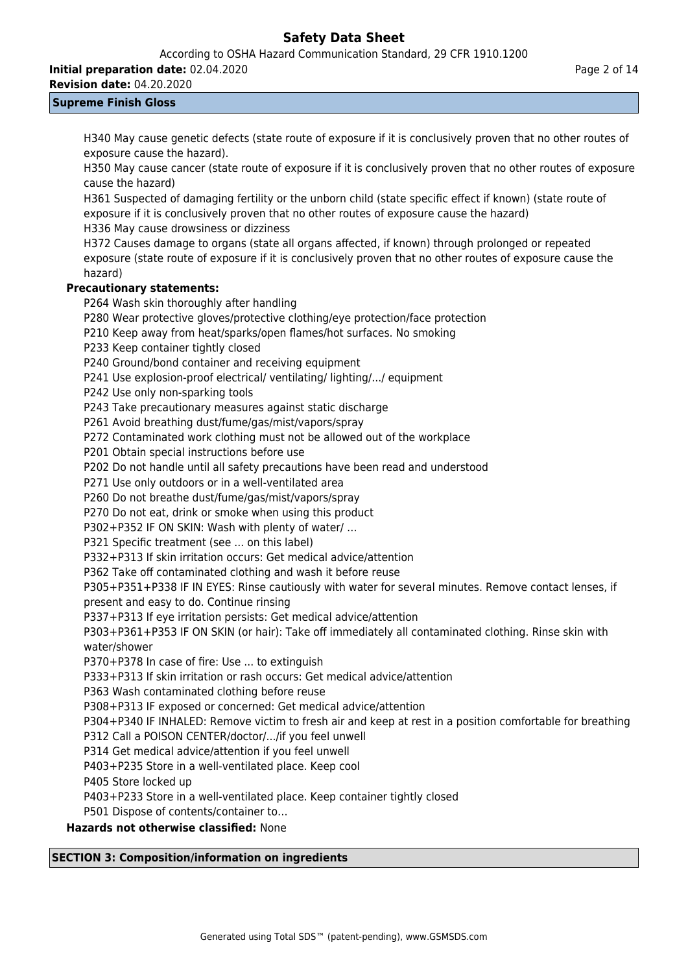According to OSHA Hazard Communication Standard, 29 CFR 1910.1200

**Initial preparation date:** 02.04.2020

**Revision date:** 04.20.2020

### **Supreme Finish Gloss**

H340 May cause genetic defects (state route of exposure if it is conclusively proven that no other routes of exposure cause the hazard).

H350 May cause cancer (state route of exposure if it is conclusively proven that no other routes of exposure cause the hazard)

H361 Suspected of damaging fertility or the unborn child (state specific effect if known) (state route of exposure if it is conclusively proven that no other routes of exposure cause the hazard)

H336 May cause drowsiness or dizziness

H372 Causes damage to organs (state all organs affected, if known) through prolonged or repeated exposure (state route of exposure if it is conclusively proven that no other routes of exposure cause the hazard)

### **Precautionary statements:**

P264 Wash skin thoroughly after handling

P280 Wear protective gloves/protective clothing/eye protection/face protection

P210 Keep away from heat/sparks/open flames/hot surfaces. No smoking

P233 Keep container tightly closed

P240 Ground/bond container and receiving equipment

P241 Use explosion-proof electrical/ ventilating/ lighting/.../ equipment

P242 Use only non-sparking tools

P243 Take precautionary measures against static discharge

P261 Avoid breathing dust/fume/gas/mist/vapors/spray

P272 Contaminated work clothing must not be allowed out of the workplace

P201 Obtain special instructions before use

P202 Do not handle until all safety precautions have been read and understood

P271 Use only outdoors or in a well-ventilated area

P260 Do not breathe dust/fume/gas/mist/vapors/spray

P270 Do not eat, drink or smoke when using this product

P302+P352 IF ON SKIN: Wash with plenty of water/ …

P321 Specific treatment (see ... on this label)

P332+P313 If skin irritation occurs: Get medical advice/attention

P362 Take off contaminated clothing and wash it before reuse

P305+P351+P338 IF IN EYES: Rinse cautiously with water for several minutes. Remove contact lenses, if present and easy to do. Continue rinsing

P337+P313 If eye irritation persists: Get medical advice/attention

P303+P361+P353 IF ON SKIN (or hair): Take off immediately all contaminated clothing. Rinse skin with water/shower

P370+P378 In case of fire: Use ... to extinguish

P333+P313 If skin irritation or rash occurs: Get medical advice/attention

P363 Wash contaminated clothing before reuse

P308+P313 IF exposed or concerned: Get medical advice/attention

P304+P340 IF INHALED: Remove victim to fresh air and keep at rest in a position comfortable for breathing

P312 Call a POISON CENTER/doctor/.../if you feel unwell

P314 Get medical advice/attention if you feel unwell

P403+P235 Store in a well-ventilated place. Keep cool

P405 Store locked up

P403+P233 Store in a well-ventilated place. Keep container tightly closed

P501 Dispose of contents/container to…

**Hazards not otherwise classified:** None

### **SECTION 3: Composition/information on ingredients**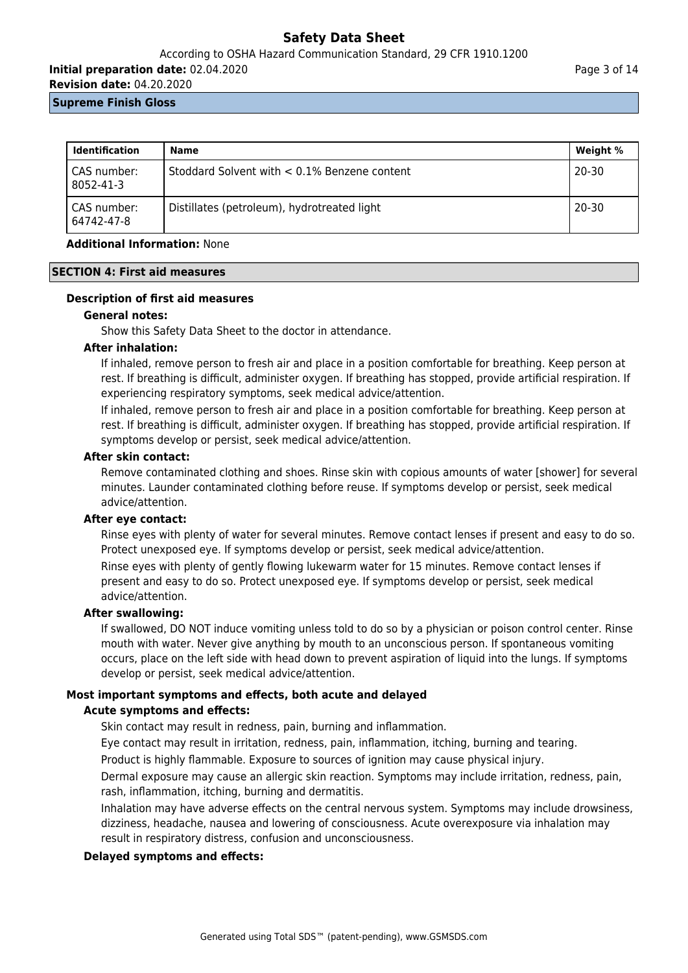### According to OSHA Hazard Communication Standard, 29 CFR 1910.1200

**Initial preparation date:** 02.04.2020

**Revision date:** 04.20.2020

### **Supreme Finish Gloss**

| <b>Identification</b>     | Name                                            | Weight %  |
|---------------------------|-------------------------------------------------|-----------|
| CAS number:<br>8052-41-3  | Stoddard Solvent with $< 0.1\%$ Benzene content | $20 - 30$ |
| CAS number:<br>64742-47-8 | Distillates (petroleum), hydrotreated light     | $20 - 30$ |

### **Additional Information:** None

#### **SECTION 4: First aid measures**

### **Description of first aid measures**

### **General notes:**

Show this Safety Data Sheet to the doctor in attendance.

### **After inhalation:**

If inhaled, remove person to fresh air and place in a position comfortable for breathing. Keep person at rest. If breathing is difficult, administer oxygen. If breathing has stopped, provide artificial respiration. If experiencing respiratory symptoms, seek medical advice/attention.

If inhaled, remove person to fresh air and place in a position comfortable for breathing. Keep person at rest. If breathing is difficult, administer oxygen. If breathing has stopped, provide artificial respiration. If symptoms develop or persist, seek medical advice/attention.

#### **After skin contact:**

Remove contaminated clothing and shoes. Rinse skin with copious amounts of water [shower] for several minutes. Launder contaminated clothing before reuse. If symptoms develop or persist, seek medical advice/attention.

### **After eye contact:**

Rinse eyes with plenty of water for several minutes. Remove contact lenses if present and easy to do so. Protect unexposed eye. If symptoms develop or persist, seek medical advice/attention.

Rinse eyes with plenty of gently flowing lukewarm water for 15 minutes. Remove contact lenses if present and easy to do so. Protect unexposed eye. If symptoms develop or persist, seek medical advice/attention.

### **After swallowing:**

If swallowed, DO NOT induce vomiting unless told to do so by a physician or poison control center. Rinse mouth with water. Never give anything by mouth to an unconscious person. If spontaneous vomiting occurs, place on the left side with head down to prevent aspiration of liquid into the lungs. If symptoms develop or persist, seek medical advice/attention.

### **Most important symptoms and effects, both acute and delayed**

### **Acute symptoms and effects:**

Skin contact may result in redness, pain, burning and inflammation.

Eye contact may result in irritation, redness, pain, inflammation, itching, burning and tearing.

Product is highly flammable. Exposure to sources of ignition may cause physical injury.

Dermal exposure may cause an allergic skin reaction. Symptoms may include irritation, redness, pain, rash, inflammation, itching, burning and dermatitis.

Inhalation may have adverse effects on the central nervous system. Symptoms may include drowsiness, dizziness, headache, nausea and lowering of consciousness. Acute overexposure via inhalation may result in respiratory distress, confusion and unconsciousness.

### **Delayed symptoms and effects:**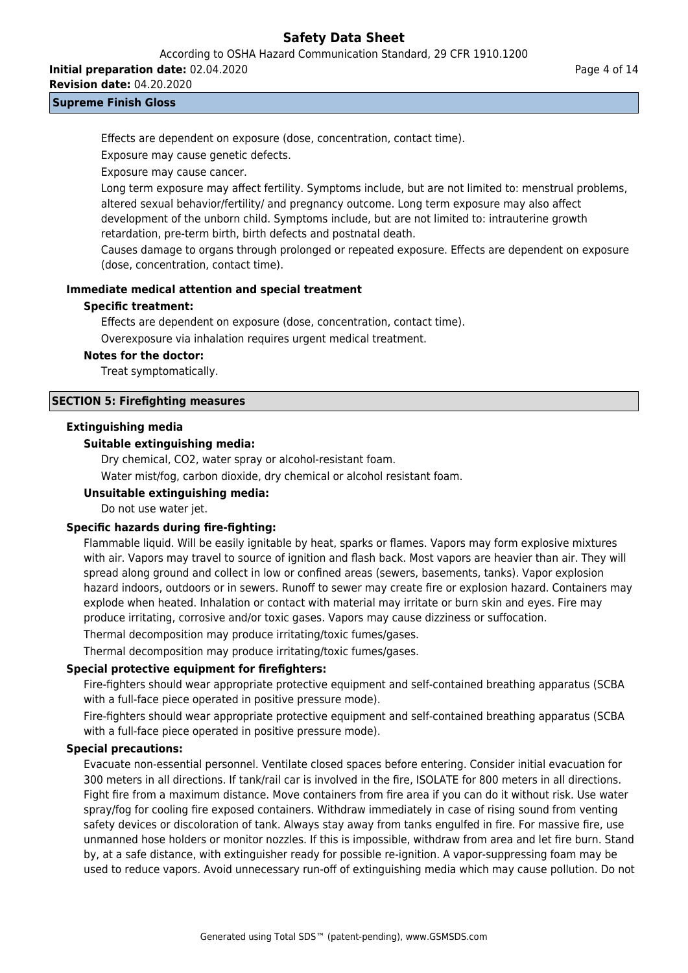According to OSHA Hazard Communication Standard, 29 CFR 1910.1200

**Initial preparation date:** 02.04.2020

**Revision date:** 04.20.2020

### **Supreme Finish Gloss**

Effects are dependent on exposure (dose, concentration, contact time).

Exposure may cause genetic defects.

Exposure may cause cancer.

Long term exposure may affect fertility. Symptoms include, but are not limited to: menstrual problems, altered sexual behavior/fertility/ and pregnancy outcome. Long term exposure may also affect development of the unborn child. Symptoms include, but are not limited to: intrauterine growth retardation, pre-term birth, birth defects and postnatal death.

Causes damage to organs through prolonged or repeated exposure. Effects are dependent on exposure (dose, concentration, contact time).

### **Immediate medical attention and special treatment**

### **Specific treatment:**

Effects are dependent on exposure (dose, concentration, contact time).

Overexposure via inhalation requires urgent medical treatment.

### **Notes for the doctor:**

Treat symptomatically.

### **SECTION 5: Firefighting measures**

### **Extinguishing media**

### **Suitable extinguishing media:**

Dry chemical, CO2, water spray or alcohol-resistant foam.

Water mist/fog, carbon dioxide, dry chemical or alcohol resistant foam.

### **Unsuitable extinguishing media:**

Do not use water jet.

### **Specific hazards during fire-fighting:**

Flammable liquid. Will be easily ignitable by heat, sparks or flames. Vapors may form explosive mixtures with air. Vapors may travel to source of ignition and flash back. Most vapors are heavier than air. They will spread along ground and collect in low or confined areas (sewers, basements, tanks). Vapor explosion hazard indoors, outdoors or in sewers. Runoff to sewer may create fire or explosion hazard. Containers may explode when heated. Inhalation or contact with material may irritate or burn skin and eyes. Fire may produce irritating, corrosive and/or toxic gases. Vapors may cause dizziness or suffocation.

Thermal decomposition may produce irritating/toxic fumes/gases.

Thermal decomposition may produce irritating/toxic fumes/gases.

### **Special protective equipment for firefighters:**

Fire-fighters should wear appropriate protective equipment and self-contained breathing apparatus (SCBA with a full-face piece operated in positive pressure mode).

Fire-fighters should wear appropriate protective equipment and self-contained breathing apparatus (SCBA with a full-face piece operated in positive pressure mode).

### **Special precautions:**

Evacuate non-essential personnel. Ventilate closed spaces before entering. Consider initial evacuation for 300 meters in all directions. If tank/rail car is involved in the fire, ISOLATE for 800 meters in all directions. Fight fire from a maximum distance. Move containers from fire area if you can do it without risk. Use water spray/fog for cooling fire exposed containers. Withdraw immediately in case of rising sound from venting safety devices or discoloration of tank. Always stay away from tanks engulfed in fire. For massive fire, use unmanned hose holders or monitor nozzles. If this is impossible, withdraw from area and let fire burn. Stand by, at a safe distance, with extinguisher ready for possible re-ignition. A vapor-suppressing foam may be used to reduce vapors. Avoid unnecessary run-off of extinguishing media which may cause pollution. Do not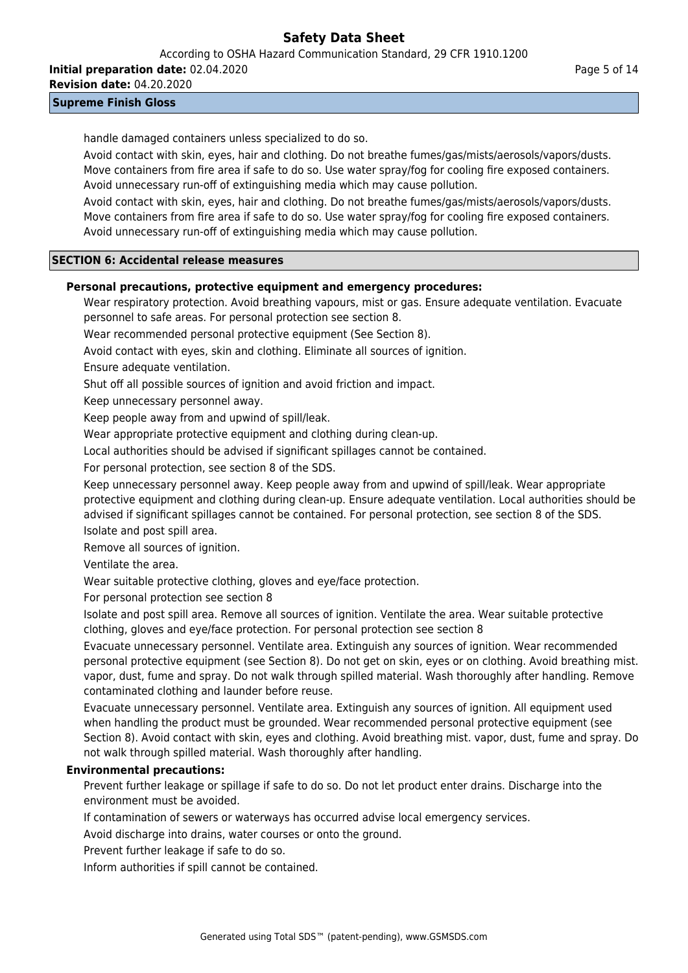According to OSHA Hazard Communication Standard, 29 CFR 1910.1200

**Initial preparation date:** 02.04.2020

**Revision date:** 04.20.2020

**Supreme Finish Gloss**

handle damaged containers unless specialized to do so.

Avoid contact with skin, eyes, hair and clothing. Do not breathe fumes/gas/mists/aerosols/vapors/dusts. Move containers from fire area if safe to do so. Use water spray/fog for cooling fire exposed containers. Avoid unnecessary run-off of extinguishing media which may cause pollution.

Avoid contact with skin, eyes, hair and clothing. Do not breathe fumes/gas/mists/aerosols/vapors/dusts. Move containers from fire area if safe to do so. Use water spray/fog for cooling fire exposed containers. Avoid unnecessary run-off of extinguishing media which may cause pollution.

### **SECTION 6: Accidental release measures**

### **Personal precautions, protective equipment and emergency procedures:**

Wear respiratory protection. Avoid breathing vapours, mist or gas. Ensure adequate ventilation. Evacuate personnel to safe areas. For personal protection see section 8.

Wear recommended personal protective equipment (See Section 8).

Avoid contact with eyes, skin and clothing. Eliminate all sources of ignition.

Ensure adequate ventilation.

Shut off all possible sources of ignition and avoid friction and impact.

Keep unnecessary personnel away.

Keep people away from and upwind of spill/leak.

Wear appropriate protective equipment and clothing during clean-up.

Local authorities should be advised if significant spillages cannot be contained.

For personal protection, see section 8 of the SDS.

Keep unnecessary personnel away. Keep people away from and upwind of spill/leak. Wear appropriate protective equipment and clothing during clean-up. Ensure adequate ventilation. Local authorities should be advised if significant spillages cannot be contained. For personal protection, see section 8 of the SDS.

Isolate and post spill area.

Remove all sources of ignition.

Ventilate the area.

Wear suitable protective clothing, gloves and eye/face protection.

For personal protection see section 8

Isolate and post spill area. Remove all sources of ignition. Ventilate the area. Wear suitable protective clothing, gloves and eye/face protection. For personal protection see section 8

Evacuate unnecessary personnel. Ventilate area. Extinguish any sources of ignition. Wear recommended personal protective equipment (see Section 8). Do not get on skin, eyes or on clothing. Avoid breathing mist. vapor, dust, fume and spray. Do not walk through spilled material. Wash thoroughly after handling. Remove contaminated clothing and launder before reuse.

Evacuate unnecessary personnel. Ventilate area. Extinguish any sources of ignition. All equipment used when handling the product must be grounded. Wear recommended personal protective equipment (see Section 8). Avoid contact with skin, eyes and clothing. Avoid breathing mist. vapor, dust, fume and spray. Do not walk through spilled material. Wash thoroughly after handling.

### **Environmental precautions:**

Prevent further leakage or spillage if safe to do so. Do not let product enter drains. Discharge into the environment must be avoided.

If contamination of sewers or waterways has occurred advise local emergency services.

Avoid discharge into drains, water courses or onto the ground.

Prevent further leakage if safe to do so.

Inform authorities if spill cannot be contained.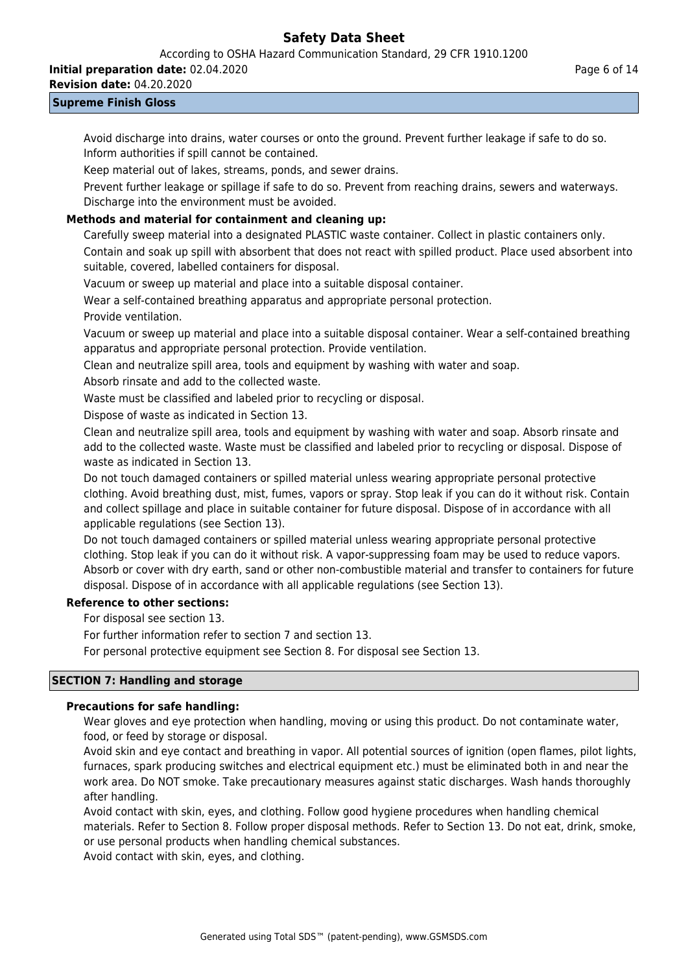According to OSHA Hazard Communication Standard, 29 CFR 1910.1200

**Initial preparation date:** 02.04.2020

**Revision date:** 04.20.2020

### **Supreme Finish Gloss**

Avoid discharge into drains, water courses or onto the ground. Prevent further leakage if safe to do so. Inform authorities if spill cannot be contained.

Keep material out of lakes, streams, ponds, and sewer drains.

Prevent further leakage or spillage if safe to do so. Prevent from reaching drains, sewers and waterways. Discharge into the environment must be avoided.

### **Methods and material for containment and cleaning up:**

Carefully sweep material into a designated PLASTIC waste container. Collect in plastic containers only. Contain and soak up spill with absorbent that does not react with spilled product. Place used absorbent into suitable, covered, labelled containers for disposal.

Vacuum or sweep up material and place into a suitable disposal container.

Wear a self-contained breathing apparatus and appropriate personal protection.

Provide ventilation.

Vacuum or sweep up material and place into a suitable disposal container. Wear a self-contained breathing apparatus and appropriate personal protection. Provide ventilation.

Clean and neutralize spill area, tools and equipment by washing with water and soap.

Absorb rinsate and add to the collected waste.

Waste must be classified and labeled prior to recycling or disposal.

Dispose of waste as indicated in Section 13.

Clean and neutralize spill area, tools and equipment by washing with water and soap. Absorb rinsate and add to the collected waste. Waste must be classified and labeled prior to recycling or disposal. Dispose of waste as indicated in Section 13.

Do not touch damaged containers or spilled material unless wearing appropriate personal protective clothing. Avoid breathing dust, mist, fumes, vapors or spray. Stop leak if you can do it without risk. Contain and collect spillage and place in suitable container for future disposal. Dispose of in accordance with all applicable regulations (see Section 13).

Do not touch damaged containers or spilled material unless wearing appropriate personal protective clothing. Stop leak if you can do it without risk. A vapor-suppressing foam may be used to reduce vapors. Absorb or cover with dry earth, sand or other non-combustible material and transfer to containers for future disposal. Dispose of in accordance with all applicable regulations (see Section 13).

### **Reference to other sections:**

For disposal see section 13.

For further information refer to section 7 and section 13.

For personal protective equipment see Section 8. For disposal see Section 13.

### **SECTION 7: Handling and storage**

### **Precautions for safe handling:**

Wear gloves and eye protection when handling, moving or using this product. Do not contaminate water, food, or feed by storage or disposal.

Avoid skin and eye contact and breathing in vapor. All potential sources of ignition (open flames, pilot lights, furnaces, spark producing switches and electrical equipment etc.) must be eliminated both in and near the work area. Do NOT smoke. Take precautionary measures against static discharges. Wash hands thoroughly after handling.

Avoid contact with skin, eyes, and clothing. Follow good hygiene procedures when handling chemical materials. Refer to Section 8. Follow proper disposal methods. Refer to Section 13. Do not eat, drink, smoke, or use personal products when handling chemical substances.

Avoid contact with skin, eyes, and clothing.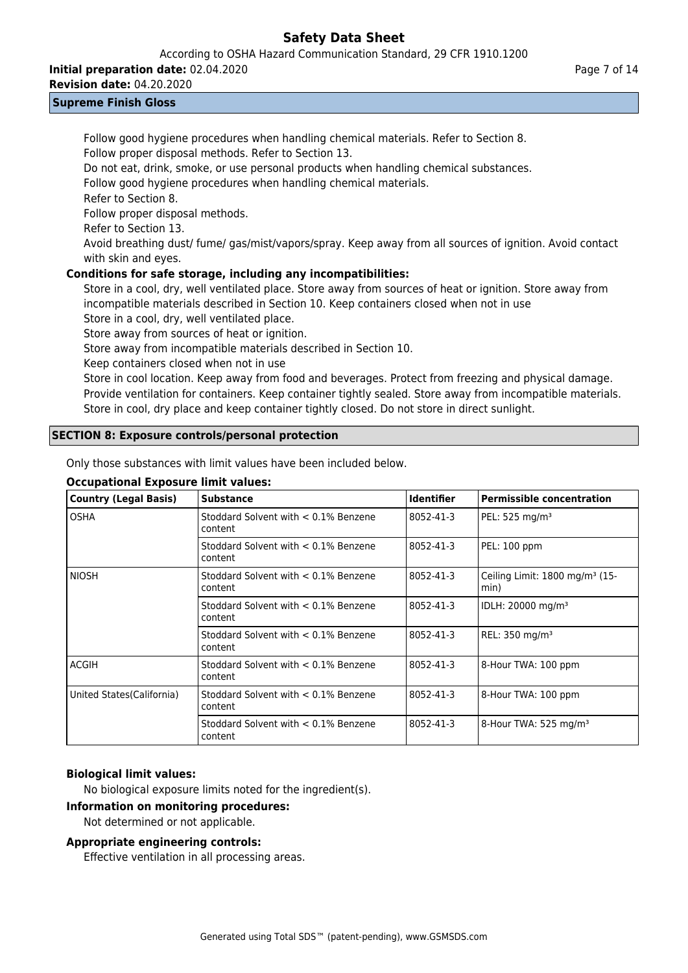According to OSHA Hazard Communication Standard, 29 CFR 1910.1200

**Initial preparation date:** 02.04.2020

**Revision date:** 04.20.2020

### **Supreme Finish Gloss**

Follow good hygiene procedures when handling chemical materials. Refer to Section 8. Follow proper disposal methods. Refer to Section 13. Do not eat, drink, smoke, or use personal products when handling chemical substances.

Follow good hygiene procedures when handling chemical materials.

Refer to Section 8.

Follow proper disposal methods.

Refer to Section 13.

Avoid breathing dust/ fume/ gas/mist/vapors/spray. Keep away from all sources of ignition. Avoid contact with skin and eyes.

### **Conditions for safe storage, including any incompatibilities:**

Store in a cool, dry, well ventilated place. Store away from sources of heat or ignition. Store away from incompatible materials described in Section 10. Keep containers closed when not in use

Store in a cool, dry, well ventilated place.

Store away from sources of heat or ignition.

Store away from incompatible materials described in Section 10.

Keep containers closed when not in use

Store in cool location. Keep away from food and beverages. Protect from freezing and physical damage. Provide ventilation for containers. Keep container tightly sealed. Store away from incompatible materials. Store in cool, dry place and keep container tightly closed. Do not store in direct sunlight.

### **SECTION 8: Exposure controls/personal protection**

Only those substances with limit values have been included below.

### **Occupational Exposure limit values:**

| <b>Country (Legal Basis)</b> | <b>Substance</b>                                   | <b>Identifier</b> | <b>Permissible concentration</b>                   |
|------------------------------|----------------------------------------------------|-------------------|----------------------------------------------------|
| <b>OSHA</b>                  | Stoddard Solvent with < 0.1% Benzene<br>content    | 8052-41-3         | PEL: 525 mg/m <sup>3</sup>                         |
|                              | Stoddard Solvent with < 0.1% Benzene<br>content    | 8052-41-3         | PEL: 100 ppm                                       |
| <b>NIOSH</b>                 | Stoddard Solvent with < 0.1% Benzene<br>content    | 8052-41-3         | Ceiling Limit: 1800 mg/m <sup>3</sup> (15-<br>min) |
|                              | Stoddard Solvent with $< 0.1\%$ Benzene<br>content | 8052-41-3         | IDLH: 20000 mg/m <sup>3</sup>                      |
|                              | Stoddard Solvent with < 0.1% Benzene<br>content    | 8052-41-3         | REL: 350 mg/m <sup>3</sup>                         |
| <b>ACGIH</b>                 | Stoddard Solvent with < 0.1% Benzene<br>content    | 8052-41-3         | 8-Hour TWA: 100 ppm                                |
| United States(California)    | Stoddard Solvent with $< 0.1\%$ Benzene<br>content | 8052-41-3         | 8-Hour TWA: 100 ppm                                |
|                              | Stoddard Solvent with $< 0.1\%$ Benzene<br>content | 8052-41-3         | 8-Hour TWA: 525 mg/m <sup>3</sup>                  |

### **Biological limit values:**

No biological exposure limits noted for the ingredient(s).

### **Information on monitoring procedures:**

Not determined or not applicable.

### **Appropriate engineering controls:**

Effective ventilation in all processing areas.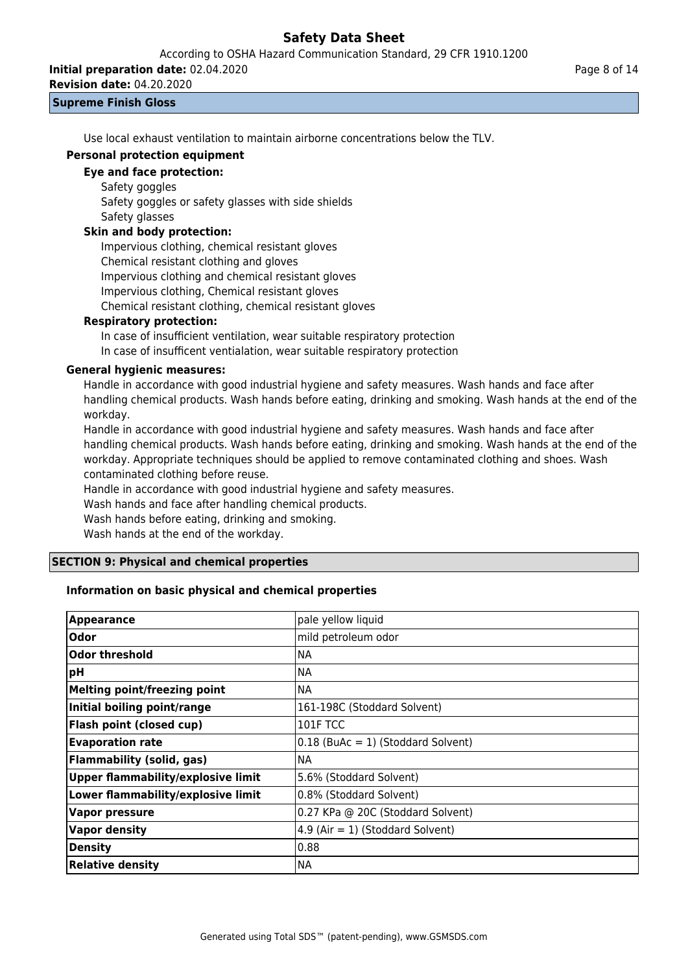According to OSHA Hazard Communication Standard, 29 CFR 1910.1200

**Initial preparation date:** 02.04.2020

**Revision date:** 04.20.2020

### **Supreme Finish Gloss**

Use local exhaust ventilation to maintain airborne concentrations below the TLV.

### **Personal protection equipment**

### **Eye and face protection:**

Safety goggles

Safety goggles or safety glasses with side shields

# Safety glasses

### **Skin and body protection:**

Impervious clothing, chemical resistant gloves Chemical resistant clothing and gloves Impervious clothing and chemical resistant gloves Impervious clothing, Chemical resistant gloves Chemical resistant clothing, chemical resistant gloves

### **Respiratory protection:**

In case of insufficient ventilation, wear suitable respiratory protection

In case of insufficent ventialation, wear suitable respiratory protection

### **General hygienic measures:**

Handle in accordance with good industrial hygiene and safety measures. Wash hands and face after handling chemical products. Wash hands before eating, drinking and smoking. Wash hands at the end of the workday.

Handle in accordance with good industrial hygiene and safety measures. Wash hands and face after handling chemical products. Wash hands before eating, drinking and smoking. Wash hands at the end of the workday. Appropriate techniques should be applied to remove contaminated clothing and shoes. Wash contaminated clothing before reuse.

Handle in accordance with good industrial hygiene and safety measures.

Wash hands and face after handling chemical products.

Wash hands before eating, drinking and smoking.

Wash hands at the end of the workday.

### **SECTION 9: Physical and chemical properties**

### **Information on basic physical and chemical properties**

| <b>Appearance</b>                         | pale yellow liquid                   |
|-------------------------------------------|--------------------------------------|
| Odor                                      | mild petroleum odor                  |
| <b>Odor threshold</b>                     | <b>NA</b>                            |
| pH                                        | <b>NA</b>                            |
| Melting point/freezing point              | <b>NA</b>                            |
| Initial boiling point/range               | 161-198C (Stoddard Solvent)          |
| <b>Flash point (closed cup)</b>           | <b>101F TCC</b>                      |
| <b>Evaporation rate</b>                   | $0.18$ (BuAc = 1) (Stoddard Solvent) |
| <b>Flammability (solid, gas)</b>          | <b>NA</b>                            |
| <b>Upper flammability/explosive limit</b> | 5.6% (Stoddard Solvent)              |
| Lower flammability/explosive limit        | 0.8% (Stoddard Solvent)              |
| <b>Vapor pressure</b>                     | 0.27 KPa @ 20C (Stoddard Solvent)    |
| <b>Vapor density</b>                      | 4.9 (Air = 1) (Stoddard Solvent)     |
| <b>Density</b>                            | 0.88                                 |
| <b>Relative density</b>                   | <b>NA</b>                            |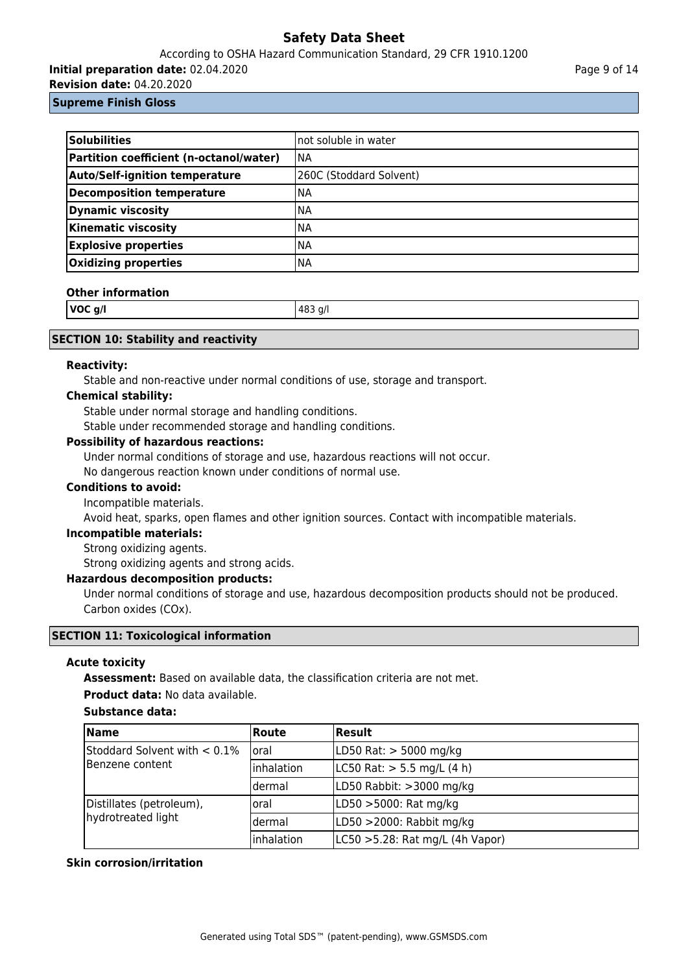### According to OSHA Hazard Communication Standard, 29 CFR 1910.1200

**Initial preparation date:** 02.04.2020

**Revision date:** 04.20.2020

### **Supreme Finish Gloss**

| Solubilities                            | Inot soluble in water   |
|-----------------------------------------|-------------------------|
| Partition coefficient (n-octanol/water) | INA                     |
| <b>Auto/Self-ignition temperature</b>   | 260C (Stoddard Solvent) |
| Decomposition temperature               | <b>NA</b>               |
| <b>Dynamic viscosity</b>                | INA                     |
| <b>Kinematic viscosity</b>              | <b>NA</b>               |
| <b>Explosive properties</b>             | INA                     |
| Oxidizing properties                    | <b>NA</b>               |

### **Other information**

| VOC g/l | 483 g/l |
|---------|---------|
|         |         |

### **SECTION 10: Stability and reactivity**

### **Reactivity:**

Stable and non-reactive under normal conditions of use, storage and transport.

### **Chemical stability:**

Stable under normal storage and handling conditions.

Stable under recommended storage and handling conditions.

### **Possibility of hazardous reactions:**

Under normal conditions of storage and use, hazardous reactions will not occur.

No dangerous reaction known under conditions of normal use.

### **Conditions to avoid:**

### Incompatible materials.

Avoid heat, sparks, open flames and other ignition sources. Contact with incompatible materials.

### **Incompatible materials:**

Strong oxidizing agents.

Strong oxidizing agents and strong acids.

### **Hazardous decomposition products:**

Under normal conditions of storage and use, hazardous decomposition products should not be produced. Carbon oxides (COx).

### **SECTION 11: Toxicological information**

### **Acute toxicity**

**Assessment:** Based on available data, the classification criteria are not met.

### **Product data:** No data available.

### **Substance data:**

| Name                                             | Route      | Result                           |
|--------------------------------------------------|------------|----------------------------------|
| Stoddard Solvent with < 0.1%<br>lBenzene content | loral      | LD50 Rat: > 5000 mg/kg           |
|                                                  | Inhalation | LC50 Rat: $> 5.5$ mg/L (4 h)     |
|                                                  | ldermal    | LD50 Rabbit: >3000 mg/kg         |
| Distillates (petroleum),                         | oral       | LD50 >5000: Rat mg/kg            |
| hydrotreated light                               | ldermal    | LD50 >2000: Rabbit mg/kg         |
|                                                  | Inhalation | LC50 > 5.28: Rat mg/L (4h Vapor) |

### **Skin corrosion/irritation**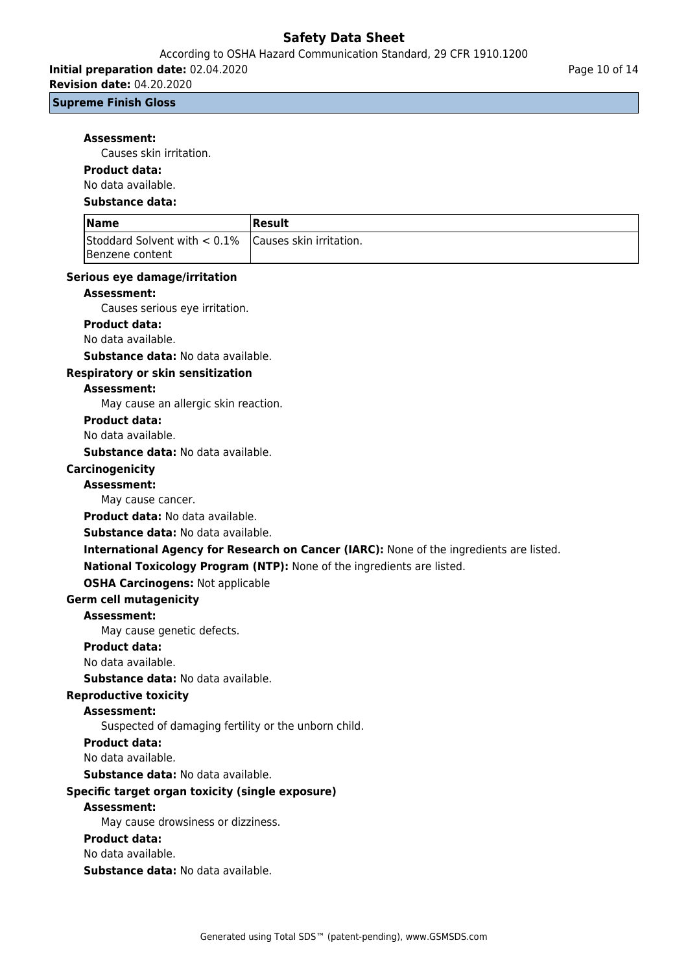According to OSHA Hazard Communication Standard, 29 CFR 1910.1200

**Initial preparation date:** 02.04.2020

**Revision date:** 04.20.2020

**Supreme Finish Gloss**

#### **Assessment:**

Causes skin irritation.

### **Product data:**

No data available.

#### **Substance data:**

| <b>Name</b>                                               | Result |
|-----------------------------------------------------------|--------|
| Stoddard Solvent with $< 0.1\%$   Causes skin irritation. |        |
| <b>IBenzene content</b>                                   |        |

### **Serious eye damage/irritation**

### **Assessment:**

Causes serious eye irritation.

#### **Product data:**

No data available.

**Substance data:** No data available.

### **Respiratory or skin sensitization**

#### **Assessment:**

May cause an allergic skin reaction.

#### **Product data:**

No data available.

**Substance data:** No data available.

### **Carcinogenicity**

**Assessment:**

May cause cancer.

**Product data:** No data available.

#### **Substance data:** No data available.

### **International Agency for Research on Cancer (IARC):** None of the ingredients are listed. **National Toxicology Program (NTP):** None of the ingredients are listed.

## **OSHA Carcinogens:** Not applicable

### **Germ cell mutagenicity**

### **Assessment:**

May cause genetic defects.

### **Product data:**

No data available.

### **Substance data:** No data available.

### **Reproductive toxicity**

### **Assessment:**

Suspected of damaging fertility or the unborn child.

### **Product data:**

No data available.

### **Substance data:** No data available.

### **Specific target organ toxicity (single exposure)**

#### **Assessment:**

May cause drowsiness or dizziness.

#### **Product data:**

No data available.

**Substance data:** No data available.

Page 10 of 14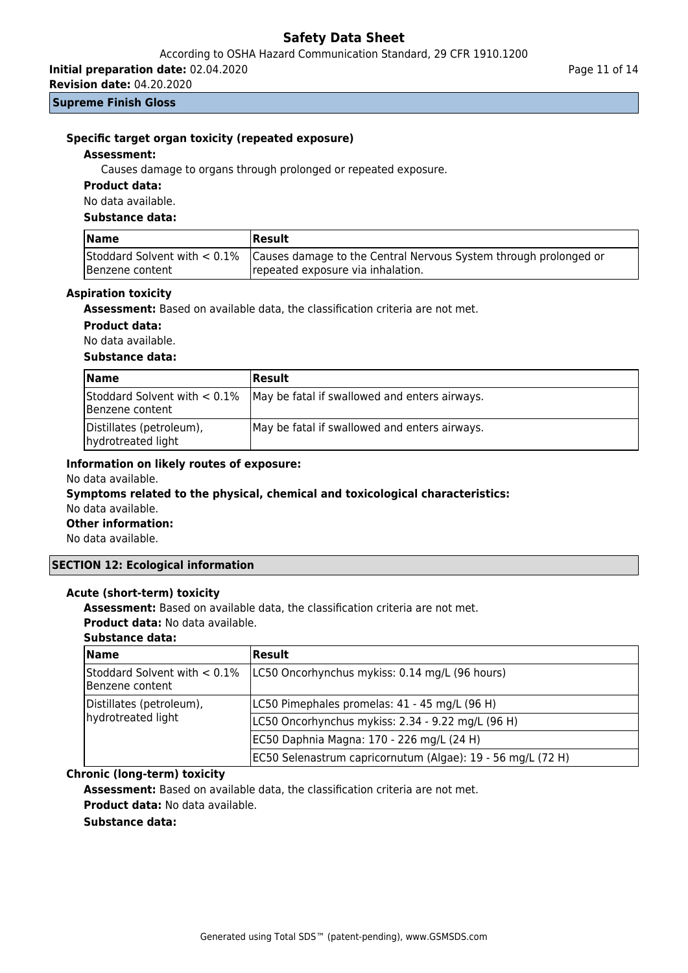According to OSHA Hazard Communication Standard, 29 CFR 1910.1200

**Initial preparation date:** 02.04.2020

**Revision date:** 04.20.2020

#### **Supreme Finish Gloss**

### **Specific target organ toxicity (repeated exposure)**

#### **Assessment:**

Causes damage to organs through prolonged or repeated exposure.

### **Product data:**

No data available.

#### **Substance data:**

| <b>Name</b>     | <b>Result</b>                                                                                                                      |
|-----------------|------------------------------------------------------------------------------------------------------------------------------------|
| Benzene content | Stoddard Solvent with < 0.1% Causes damage to the Central Nervous System through prolonged or<br>repeated exposure via inhalation. |

#### **Aspiration toxicity**

**Assessment:** Based on available data, the classification criteria are not met.

### **Product data:**

No data available.

### **Substance data:**

| <b>Name</b>                                    | <b>Result</b>                                                                 |
|------------------------------------------------|-------------------------------------------------------------------------------|
| Benzene content                                | Stoddard Solvent with $< 0.1\%$ May be fatal if swallowed and enters airways. |
| Distillates (petroleum),<br>hydrotreated light | May be fatal if swallowed and enters airways.                                 |

### **Information on likely routes of exposure:**

No data available.

### **Symptoms related to the physical, chemical and toxicological characteristics:** No data available.

**Other information:**

No data available.

### **SECTION 12: Ecological information**

### **Acute (short-term) toxicity**

**Assessment:** Based on available data, the classification criteria are not met.

**Product data:** No data available.

### **Substance data:**

| <b>Name</b>                                     | Result                                                      |
|-------------------------------------------------|-------------------------------------------------------------|
| Stoddard Solvent with < 0.1%<br>Benzene content | LC50 Oncorhynchus mykiss: 0.14 mg/L (96 hours)              |
| Distillates (petroleum),<br>hydrotreated light  | LC50 Pimephales promelas: 41 - 45 mg/L (96 H)               |
|                                                 | LC50 Oncorhynchus mykiss: 2.34 - 9.22 mg/L (96 H)           |
|                                                 | EC50 Daphnia Magna: 170 - 226 mg/L (24 H)                   |
|                                                 | EC50 Selenastrum capricornutum (Algae): 19 - 56 mg/L (72 H) |

### **Chronic (long-term) toxicity**

**Assessment:** Based on available data, the classification criteria are not met.

**Product data:** No data available.

### **Substance data:**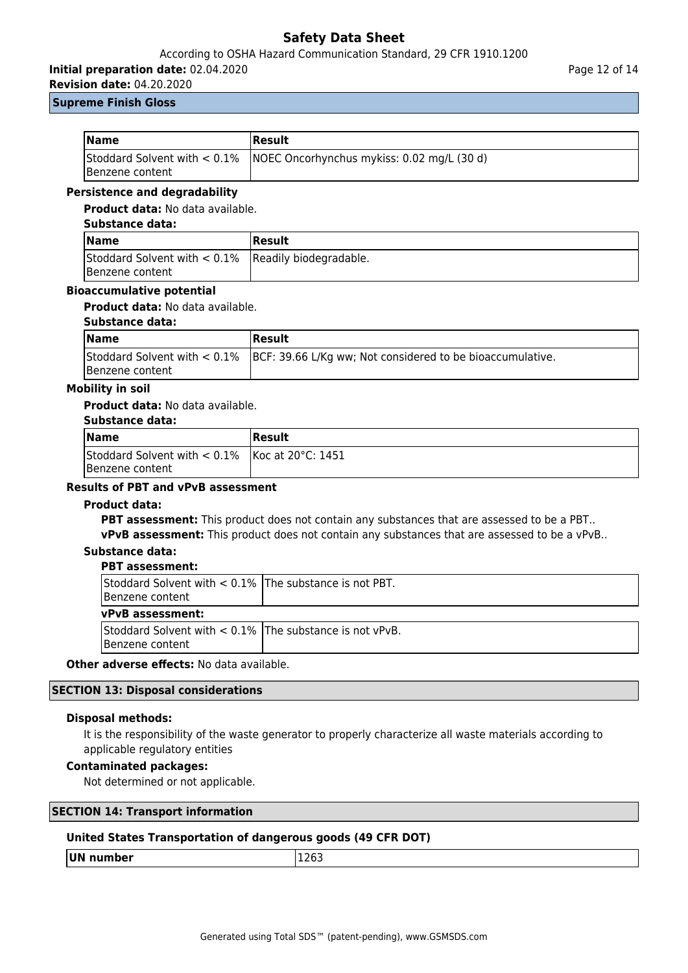### According to OSHA Hazard Communication Standard, 29 CFR 1910.1200

**Initial preparation date:** 02.04.2020

Page 12 of 14

**Revision date:** 04.20.2020 **Supreme Finish Gloss**

| <b>Name</b>             | <b>Result</b>                                                              |
|-------------------------|----------------------------------------------------------------------------|
| <b>IBenzene content</b> | Stoddard Solvent with $< 0.1\%$ NOEC Oncorhynchus mykiss: 0.02 mg/L (30 d) |

### **Persistence and degradability**

### **Product data:** No data available.

### **Substance data:**

| <b>Name</b>                                                               | Result |
|---------------------------------------------------------------------------|--------|
| Stoddard Solvent with $< 0.1\%$ Readily biodegradable.<br>Benzene content |        |

### **Bioaccumulative potential**

**Product data:** No data available.

#### **Substance data:**

| <b>Name</b>     | <b>IResult</b>                                                                           |
|-----------------|------------------------------------------------------------------------------------------|
| Benzene content | Stoddard Solvent with < 0.1%   BCF: 39.66 L/Kg ww; Not considered to be bioaccumulative. |

### **Mobility in soil**

### **Product data:** No data available.

### **Substance data:**

| <b>Name</b>                                                            | <b>IResult</b> |
|------------------------------------------------------------------------|----------------|
| Stoddard Solvent with $< 0.1\%$   Koc at 20°C: 1451<br>Benzene content |                |

### **Results of PBT and vPvB assessment**

### **Product data:**

**PBT assessment:** This product does not contain any substances that are assessed to be a PBT..

**vPvB assessment:** This product does not contain any substances that are assessed to be a vPvB..

#### **Substance data: PBT assessment:**

| , рт изэсээннсны                                                              |  |
|-------------------------------------------------------------------------------|--|
| Stoddard Solvent with $< 0.1\%$ The substance is not PBT.<br>Benzene content  |  |
| <b>vPvB</b> assessment:                                                       |  |
| Stoddard Solvent with $< 0.1\%$ The substance is not vPvB.<br>Benzene content |  |

**Other adverse effects:** No data available.

#### **SECTION 13: Disposal considerations**

### **Disposal methods:**

It is the responsibility of the waste generator to properly characterize all waste materials according to applicable regulatory entities

### **Contaminated packages:**

Not determined or not applicable.

| <b>SECTION 14: Transport information</b> |  |  |
|------------------------------------------|--|--|
|------------------------------------------|--|--|

### **United States Transportation of dangerous goods (49 CFR DOT)**

| TUM.<br>- - | $ -$ |
|-------------|------|
|             |      |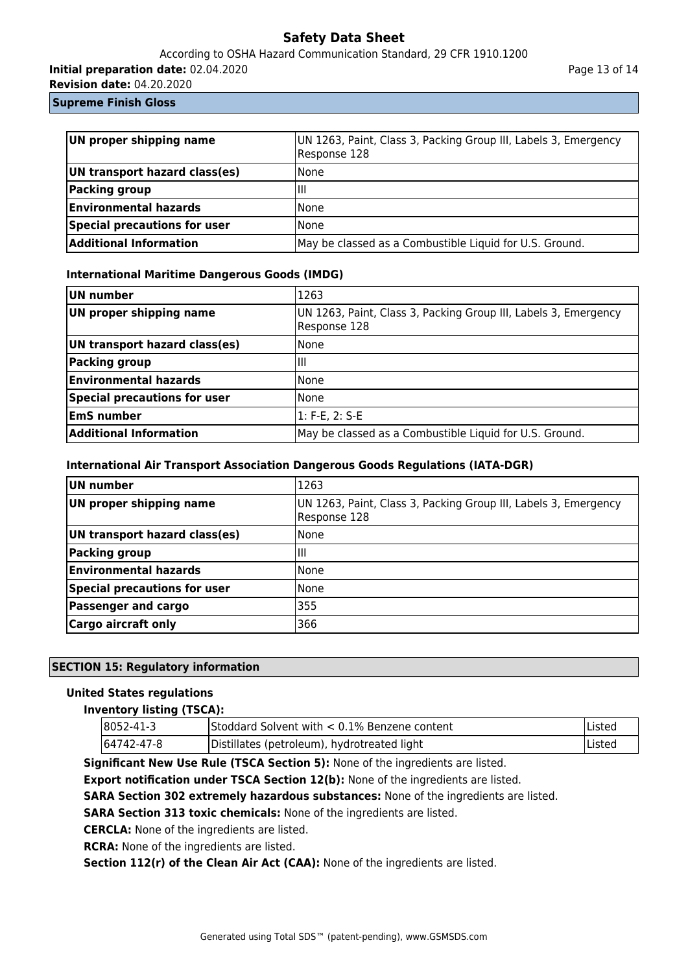### According to OSHA Hazard Communication Standard, 29 CFR 1910.1200

**Initial preparation date:** 02.04.2020

**Revision date:** 04.20.2020

### **Supreme Finish Gloss**

| UN proper shipping name       | UN 1263, Paint, Class 3, Packing Group III, Labels 3, Emergency<br>Response 128 |  |
|-------------------------------|---------------------------------------------------------------------------------|--|
| UN transport hazard class(es) | <b>None</b>                                                                     |  |
| <b>Packing group</b>          | Ш                                                                               |  |
| <b>Environmental hazards</b>  | <b>None</b>                                                                     |  |
| Special precautions for user  | <b>None</b>                                                                     |  |
| <b>Additional Information</b> | May be classed as a Combustible Liquid for U.S. Ground.                         |  |

### **International Maritime Dangerous Goods (IMDG)**

| UN number                     | 1263                                                                            |
|-------------------------------|---------------------------------------------------------------------------------|
| UN proper shipping name       | UN 1263, Paint, Class 3, Packing Group III, Labels 3, Emergency<br>Response 128 |
| UN transport hazard class(es) | <b>None</b>                                                                     |
| Packing group                 | Ш                                                                               |
| <b>Environmental hazards</b>  | <b>None</b>                                                                     |
| Special precautions for user  | None                                                                            |
| <b>EmS number</b>             | 1: F-E, 2: S-E                                                                  |
| <b>Additional Information</b> | May be classed as a Combustible Liquid for U.S. Ground.                         |

### **International Air Transport Association Dangerous Goods Regulations (IATA-DGR)**

| UN number                           | 1263                                                                            |
|-------------------------------------|---------------------------------------------------------------------------------|
| UN proper shipping name             | UN 1263, Paint, Class 3, Packing Group III, Labels 3, Emergency<br>Response 128 |
| UN transport hazard class(es)       | None                                                                            |
| Packing group                       | Ш                                                                               |
| <b>Environmental hazards</b>        | None                                                                            |
| <b>Special precautions for user</b> | None                                                                            |
| <b>Passenger and cargo</b>          | 355                                                                             |
| <b>Cargo aircraft only</b>          | 366                                                                             |

### **SECTION 15: Regulatory information**

### **United States regulations**

### **Inventory listing (TSCA):**

| $ 8052 - 41 - 3 $ | Stoddard Solvent with < 0.1% Benzene content | Listed |
|-------------------|----------------------------------------------|--------|
| 64742-47-8        | Distillates (petroleum), hydrotreated light  | Listed |

**Significant New Use Rule (TSCA Section 5):** None of the ingredients are listed.

**Export notification under TSCA Section 12(b):** None of the ingredients are listed.

**SARA Section 302 extremely hazardous substances:** None of the ingredients are listed.

**SARA Section 313 toxic chemicals:** None of the ingredients are listed.

**CERCLA:** None of the ingredients are listed.

**RCRA:** None of the ingredients are listed.

**Section 112(r) of the Clean Air Act (CAA):** None of the ingredients are listed.